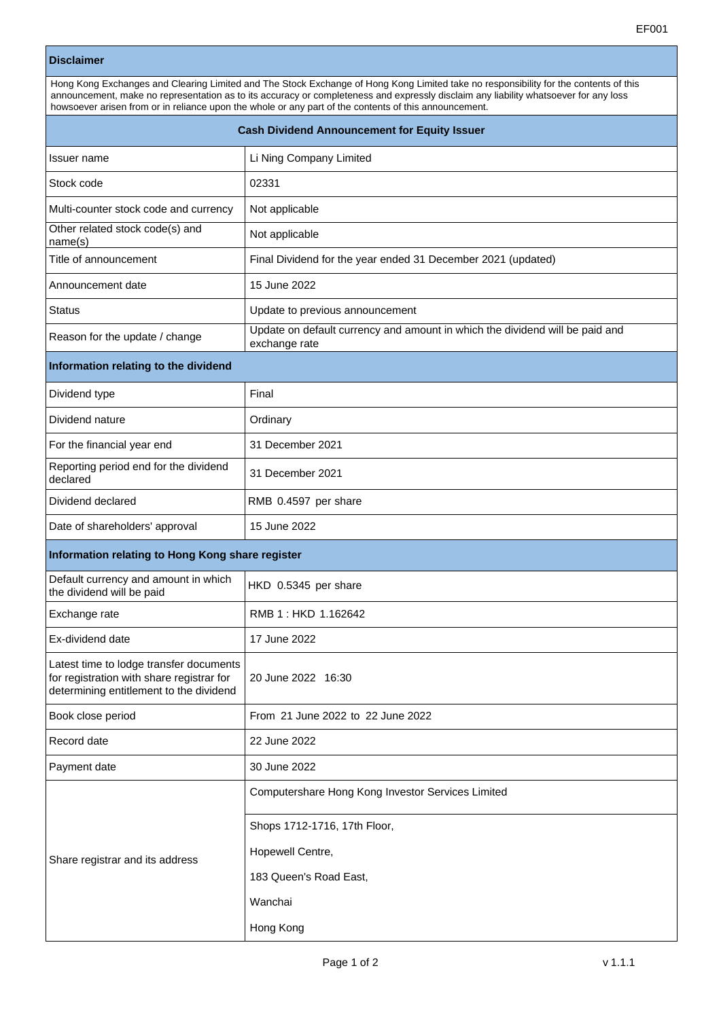## **Disclaimer**

| Hong Kong Exchanges and Clearing Limited and The Stock Exchange of Hong Kong Limited take no responsibility for the contents of this<br>announcement, make no representation as to its accuracy or completeness and expressly disclaim any liability whatsoever for any loss<br>howsoever arisen from or in reliance upon the whole or any part of the contents of this announcement. |                                                                                               |  |
|---------------------------------------------------------------------------------------------------------------------------------------------------------------------------------------------------------------------------------------------------------------------------------------------------------------------------------------------------------------------------------------|-----------------------------------------------------------------------------------------------|--|
| <b>Cash Dividend Announcement for Equity Issuer</b>                                                                                                                                                                                                                                                                                                                                   |                                                                                               |  |
| Issuer name                                                                                                                                                                                                                                                                                                                                                                           | Li Ning Company Limited                                                                       |  |
| Stock code                                                                                                                                                                                                                                                                                                                                                                            | 02331                                                                                         |  |
| Multi-counter stock code and currency                                                                                                                                                                                                                                                                                                                                                 | Not applicable                                                                                |  |
| Other related stock code(s) and<br>name(s)                                                                                                                                                                                                                                                                                                                                            | Not applicable                                                                                |  |
| Title of announcement                                                                                                                                                                                                                                                                                                                                                                 | Final Dividend for the year ended 31 December 2021 (updated)                                  |  |
| Announcement date                                                                                                                                                                                                                                                                                                                                                                     | 15 June 2022                                                                                  |  |
| <b>Status</b>                                                                                                                                                                                                                                                                                                                                                                         | Update to previous announcement                                                               |  |
| Reason for the update / change                                                                                                                                                                                                                                                                                                                                                        | Update on default currency and amount in which the dividend will be paid and<br>exchange rate |  |
| Information relating to the dividend                                                                                                                                                                                                                                                                                                                                                  |                                                                                               |  |
| Dividend type                                                                                                                                                                                                                                                                                                                                                                         | Final                                                                                         |  |
| Dividend nature                                                                                                                                                                                                                                                                                                                                                                       | Ordinary                                                                                      |  |
| For the financial year end                                                                                                                                                                                                                                                                                                                                                            | 31 December 2021                                                                              |  |
| Reporting period end for the dividend<br>declared                                                                                                                                                                                                                                                                                                                                     | 31 December 2021                                                                              |  |
| Dividend declared                                                                                                                                                                                                                                                                                                                                                                     | RMB 0.4597 per share                                                                          |  |
| Date of shareholders' approval                                                                                                                                                                                                                                                                                                                                                        | 15 June 2022                                                                                  |  |
| Information relating to Hong Kong share register                                                                                                                                                                                                                                                                                                                                      |                                                                                               |  |
| Default currency and amount in which<br>the dividend will be paid                                                                                                                                                                                                                                                                                                                     | HKD 0.5345 per share                                                                          |  |
| Exchange rate                                                                                                                                                                                                                                                                                                                                                                         | RMB 1: HKD 1.162642                                                                           |  |
| Ex-dividend date                                                                                                                                                                                                                                                                                                                                                                      | 17 June 2022                                                                                  |  |
| Latest time to lodge transfer documents<br>for registration with share registrar for<br>determining entitlement to the dividend                                                                                                                                                                                                                                                       | 20 June 2022 16:30                                                                            |  |
| Book close period                                                                                                                                                                                                                                                                                                                                                                     | From 21 June 2022 to 22 June 2022                                                             |  |
| Record date                                                                                                                                                                                                                                                                                                                                                                           | 22 June 2022                                                                                  |  |
| Payment date                                                                                                                                                                                                                                                                                                                                                                          | 30 June 2022                                                                                  |  |
| Share registrar and its address                                                                                                                                                                                                                                                                                                                                                       | Computershare Hong Kong Investor Services Limited<br>Shops 1712-1716, 17th Floor,             |  |
|                                                                                                                                                                                                                                                                                                                                                                                       | Hopewell Centre,                                                                              |  |
|                                                                                                                                                                                                                                                                                                                                                                                       | 183 Queen's Road East,                                                                        |  |
|                                                                                                                                                                                                                                                                                                                                                                                       | Wanchai                                                                                       |  |
|                                                                                                                                                                                                                                                                                                                                                                                       | Hong Kong                                                                                     |  |